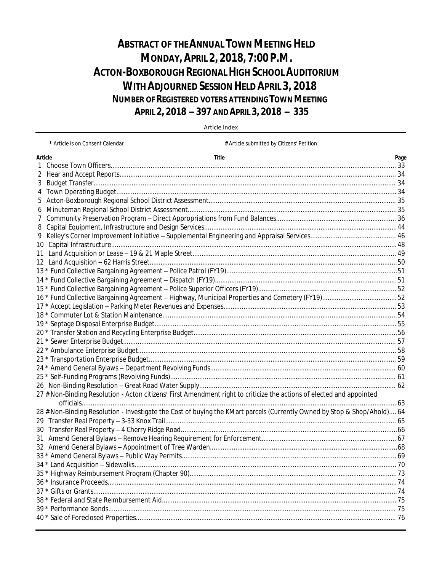# **ABSTRACT OF THE ANNUAL TOWN MEETING HELD MONDAY, APRIL 2, 2018, 7:00 P.M. ACTON-BOXBOROUGH REGIONAL HIGH SCHOOL AUDITORIUM WITH ADJOURNED SESSION HELD APRIL 3, 2018 NUMBER OF REGISTERED VOTERS ATTENDING TOWN MEETING** APRIL 2, 2018 - 397 AND APRIL 3, 2018 - 335

| Article Index |  |  |
|---------------|--|--|
|               |  |  |

\* Article is on Consent Calendar # Article submitted by Citizens' Petition **Article Title** Page  $\mathbf{1}$  $\overline{3}$  $\overline{4}$ 5 6  $\overline{7}$ 8 9 27 # Non-Binding Resolution - Acton citizens' First Amendment right to criticize the actions of elected and appointed 28 # Non-Binding Resolution - Investigate the Cost of buying the KMart parcels (Currently Owned by Stop & Shop/Ahold).... 64 30  $37 *$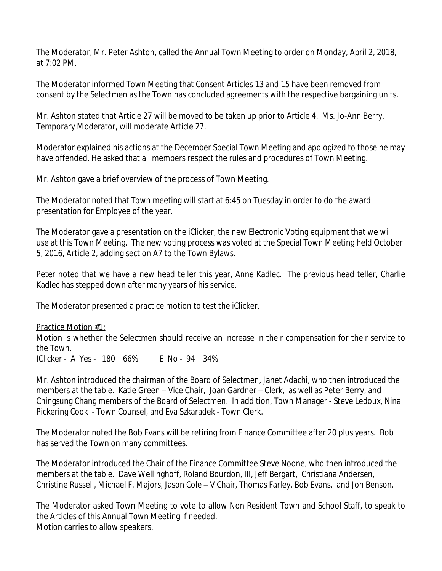The Moderator, Mr. Peter Ashton, called the Annual Town Meeting to order on Monday, April 2, 2018, at 7:02 PM.

The Moderator informed Town Meeting that Consent Articles 13 and 15 have been removed from consent by the Selectmen as the Town has concluded agreements with the respective bargaining units.

Mr. Ashton stated that Article 27 will be moved to be taken up prior to Article 4. Ms. Jo-Ann Berry, Temporary Moderator, will moderate Article 27.

Moderator explained his actions at the December Special Town Meeting and apologized to those he may have offended. He asked that all members respect the rules and procedures of Town Meeting.

Mr. Ashton gave a brief overview of the process of Town Meeting.

The Moderator noted that Town meeting will start at 6:45 on Tuesday in order to do the award presentation for Employee of the year.

The Moderator gave a presentation on the iClicker, the new Electronic Voting equipment that we will use at this Town Meeting. The new voting process was voted at the Special Town Meeting held October 5, 2016, Article 2, adding section A7 to the Town Bylaws.

Peter noted that we have a new head teller this year, Anne Kadlec. The previous head teller, Charlie Kadlec has stepped down after many years of his service.

The Moderator presented a practice motion to test the iClicker.

Practice Motion #1: Motion is whether the Selectmen should receive an increase in their compensation for their service to the Town. IClicker - A Yes - 180 66% E No - 94 34%

Mr. Ashton introduced the chairman of the Board of Selectmen, Janet Adachi, who then introduced the members at the table. Katie Green – Vice Chair, Joan Gardner – Clerk, as well as Peter Berry, and Chingsung Chang members of the Board of Selectmen. In addition, Town Manager - Steve Ledoux, Nina Pickering Cook - Town Counsel, and Eva Szkaradek - Town Clerk.

The Moderator noted the Bob Evans will be retiring from Finance Committee after 20 plus years. Bob has served the Town on many committees.

The Moderator introduced the Chair of the Finance Committee Steve Noone, who then introduced the members at the table. Dave Wellinghoff, Roland Bourdon, III, Jeff Bergart, Christiana Andersen, Christine Russell, Michael F. Majors, Jason Cole – V Chair, Thomas Farley, Bob Evans, and Jon Benson.

The Moderator asked Town Meeting to vote to allow Non Resident Town and School Staff, to speak to the Articles of this Annual Town Meeting if needed. Motion carries to allow speakers.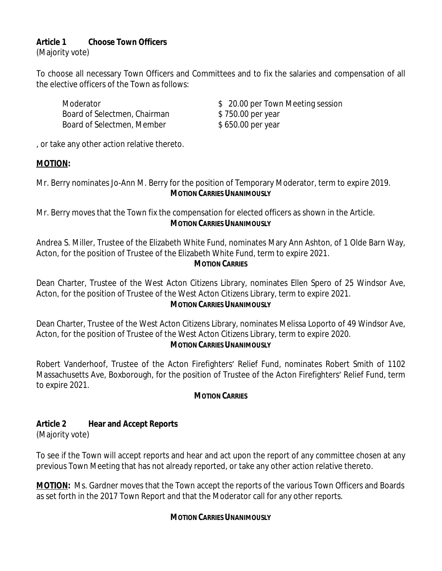# **Article 1 Choose Town Officers**

(Majority vote)

To choose all necessary Town Officers and Committees and to fix the salaries and compensation of all the elective officers of the Town as follows:

Board of Selectmen, Chairman \$750.00 per year Board of Selectmen, Member \$ 650.00 per year

Moderator  $$ 20.00$  per Town Meeting session

, or take any other action relative thereto.

# **MOTION:**

Mr. Berry nominates Jo-Ann M. Berry for the position of Temporary Moderator, term to expire 2019. **MOTION CARRIES UNANIMOUSLY**

Mr. Berry moves that the Town fix the compensation for elected officers as shown in the Article. **MOTION CARRIES UNANIMOUSLY**

Andrea S. Miller, Trustee of the Elizabeth White Fund, nominates Mary Ann Ashton, of 1 Olde Barn Way, Acton, for the position of Trustee of the Elizabeth White Fund, term to expire 2021. **MOTION CARRIES**

Dean Charter, Trustee of the West Acton Citizens Library, nominates Ellen Spero of 25 Windsor Ave, Acton, for the position of Trustee of the West Acton Citizens Library, term to expire 2021.

## **MOTION CARRIES UNANIMOUSLY**

Dean Charter, Trustee of the West Acton Citizens Library, nominates Melissa Loporto of 49 Windsor Ave, Acton, for the position of Trustee of the West Acton Citizens Library, term to expire 2020.

**MOTION CARRIES UNANIMOUSLY**

Robert Vanderhoof, Trustee of the Acton Firefighters' Relief Fund, nominates Robert Smith of 1102 Massachusetts Ave, Boxborough, for the position of Trustee of the Acton Firefighters' Relief Fund, term to expire 2021.

# **MOTION CARRIES**

# **Article 2 Hear and Accept Reports**

(Majority vote)

To see if the Town will accept reports and hear and act upon the report of any committee chosen at any previous Town Meeting that has not already reported, or take any other action relative thereto.

**MOTION:** Ms. Gardner moves that the Town accept the reports of the various Town Officers and Boards as set forth in the 2017 Town Report and that the Moderator call for any other reports.

# **MOTION CARRIES UNANIMOUSLY**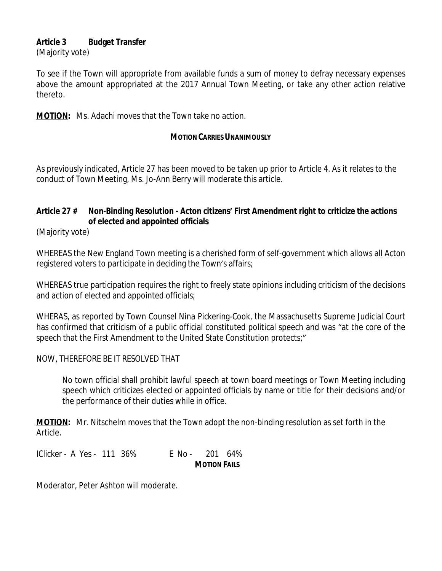## **Article 3 Budget Transfer**

(Majority vote)

To see if the Town will appropriate from available funds a sum of money to defray necessary expenses above the amount appropriated at the 2017 Annual Town Meeting, or take any other action relative thereto.

**MOTION:** Ms. Adachi moves that the Town take no action.

#### **MOTION CARRIES UNANIMOUSLY**

As previously indicated, Article 27 has been moved to be taken up prior to Article 4. As it relates to the conduct of Town Meeting, Ms. Jo-Ann Berry will moderate this article.

# **Article 27 # Non-Binding Resolution - Acton citizens' First Amendment right to criticize the actions of elected and appointed officials**

(Majority vote)

WHEREAS the New England Town meeting is a cherished form of self-government which allows all Acton registered voters to participate in deciding the Town's affairs;

WHEREAS true participation requires the right to freely state opinions including criticism of the decisions and action of elected and appointed officials;

WHERAS, as reported by Town Counsel Nina Pickering-Cook, the Massachusetts Supreme Judicial Court has confirmed that criticism of a public official constituted political speech and was "at the core of the speech that the First Amendment to the United State Constitution protects;"

## NOW, THEREFORE BE IT RESOLVED THAT

No town official shall prohibit lawful speech at town board meetings or Town Meeting including speech which criticizes elected or appointed officials by name or title for their decisions and/or the performance of their duties while in office.

**MOTION:** Mr. Nitschelm moves that the Town adopt the non-binding resolution as set forth in the Article.

IClicker - A Yes - 111 36% E No - 201 64% **MOTION FAILS**

Moderator, Peter Ashton will moderate.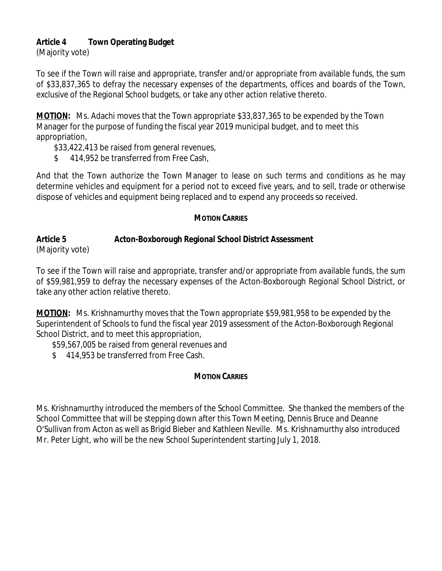# **Article 4 Town Operating Budget**

(Majority vote)

To see if the Town will raise and appropriate, transfer and/or appropriate from available funds, the sum of \$33,837,365 to defray the necessary expenses of the departments, offices and boards of the Town, exclusive of the Regional School budgets, or take any other action relative thereto.

**MOTION:** Ms. Adachi moves that the Town appropriate \$33,837,365 to be expended by the Town Manager for the purpose of funding the fiscal year 2019 municipal budget, and to meet this appropriation,

\$33,422,413 be raised from general revenues,

\$ 414,952 be transferred from Free Cash,

And that the Town authorize the Town Manager to lease on such terms and conditions as he may determine vehicles and equipment for a period not to exceed five years, and to sell, trade or otherwise dispose of vehicles and equipment being replaced and to expend any proceeds so received.

# **MOTION CARRIES**

## **Article 5 Acton-Boxborough Regional School District Assessment** (Majority vote)

To see if the Town will raise and appropriate, transfer and/or appropriate from available funds, the sum of \$59,981,959 to defray the necessary expenses of the Acton-Boxborough Regional School District, or take any other action relative thereto.

**MOTION:** Ms. Krishnamurthy moves that the Town appropriate \$59,981,958 to be expended by the Superintendent of Schools to fund the fiscal year 2019 assessment of the Acton-Boxborough Regional School District, and to meet this appropriation,

\$59,567,005 be raised from general revenues and

\$ 414,953 be transferred from Free Cash.

# **MOTION CARRIES**

Ms. Krishnamurthy introduced the members of the School Committee. She thanked the members of the School Committee that will be stepping down after this Town Meeting, Dennis Bruce and Deanne O'Sullivan from Acton as well as Brigid Bieber and Kathleen Neville. Ms. Krishnamurthy also introduced Mr. Peter Light, who will be the new School Superintendent starting July 1, 2018.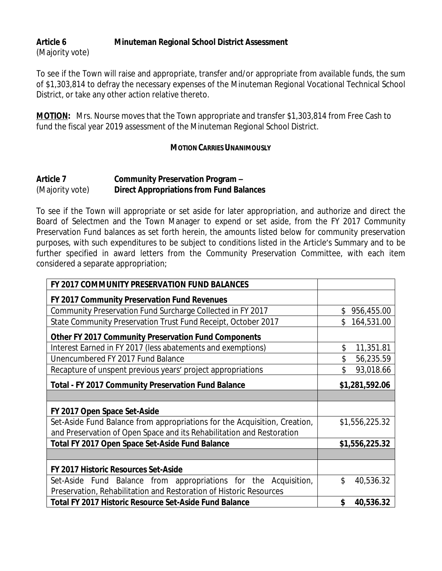# **Article 6 Minuteman Regional School District Assessment** (Majority vote)

To see if the Town will raise and appropriate, transfer and/or appropriate from available funds, the sum of \$1,303,814 to defray the necessary expenses of the Minuteman Regional Vocational Technical School District, or take any other action relative thereto.

**MOTION:** Mrs. Nourse moves that the Town appropriate and transfer \$1,303,814 from Free Cash to fund the fiscal year 2019 assessment of the Minuteman Regional School District.

## **MOTION CARRIES UNANIMOUSLY**

# **Article 7 Community Preservation Program –** (Majority vote) **Direct Appropriations from Fund Balances**

To see if the Town will appropriate or set aside for later appropriation, and authorize and direct the Board of Selectmen and the Town Manager to expend or set aside, from the FY 2017 Community Preservation Fund balances as set forth herein, the amounts listed below for community preservation purposes, with such expenditures to be subject to conditions listed in the Article's Summary and to be further specified in award letters from the Community Preservation Committee, with each item considered a separate appropriation;

| FY 2017 COMMUNITY PRESERVATION FUND BALANCES                              |                  |
|---------------------------------------------------------------------------|------------------|
| FY 2017 Community Preservation Fund Revenues                              |                  |
| Community Preservation Fund Surcharge Collected in FY 2017                | \$<br>956,455.00 |
| State Community Preservation Trust Fund Receipt, October 2017             | \$<br>164,531.00 |
| <b>Other FY 2017 Community Preservation Fund Components</b>               |                  |
| Interest Earned in FY 2017 (less abatements and exemptions)               | \$<br>11,351.81  |
| Unencumbered FY 2017 Fund Balance                                         | \$<br>56,235.59  |
| Recapture of unspent previous years' project appropriations               | \$<br>93,018.66  |
| <b>Total - FY 2017 Community Preservation Fund Balance</b>                | \$1,281,592.06   |
|                                                                           |                  |
| FY 2017 Open Space Set-Aside                                              |                  |
| Set-Aside Fund Balance from appropriations for the Acquisition, Creation, | \$1,556,225.32   |
| and Preservation of Open Space and its Rehabilitation and Restoration     |                  |
| Total FY 2017 Open Space Set-Aside Fund Balance                           | \$1,556,225.32   |
|                                                                           |                  |
| FY 2017 Historic Resources Set-Aside                                      |                  |
| Set-Aside Fund Balance from appropriations for the Acquisition,           | \$<br>40,536.32  |
| Preservation, Rehabilitation and Restoration of Historic Resources        |                  |
| <b>Total FY 2017 Historic Resource Set-Aside Fund Balance</b>             | \$<br>40,536.32  |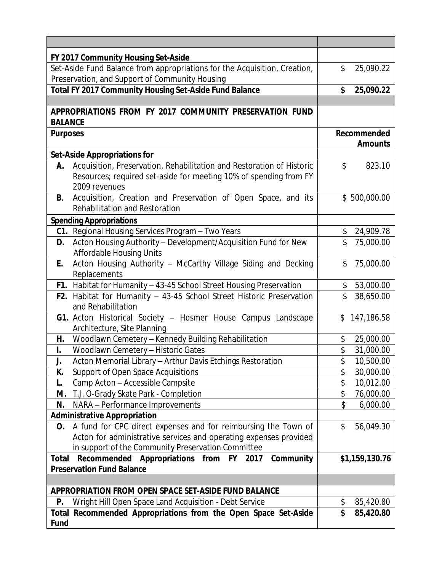|                 | FY 2017 Community Housing Set-Aside                                                             |          |                |
|-----------------|-------------------------------------------------------------------------------------------------|----------|----------------|
|                 | Set-Aside Fund Balance from appropriations for the Acquisition, Creation,                       | \$       | 25,090.22      |
|                 | Preservation, and Support of Community Housing                                                  |          |                |
|                 | Total FY 2017 Community Housing Set-Aside Fund Balance                                          | \$       | 25,090.22      |
|                 |                                                                                                 |          |                |
| <b>BALANCE</b>  | APPROPRIATIONS FROM FY 2017 COMMUNITY PRESERVATION FUND                                         |          |                |
| <b>Purposes</b> |                                                                                                 |          | Recommended    |
|                 |                                                                                                 |          | <b>Amounts</b> |
|                 | <b>Set-Aside Appropriations for</b>                                                             |          |                |
| А.              | Acquisition, Preservation, Rehabilitation and Restoration of Historic                           | \$       | 823.10         |
|                 | Resources; required set-aside for meeting 10% of spending from FY                               |          |                |
|                 | 2009 revenues                                                                                   |          |                |
| B.              | Acquisition, Creation and Preservation of Open Space, and its<br>Rehabilitation and Restoration |          | \$500,000.00   |
|                 | <b>Spending Appropriations</b>                                                                  |          |                |
|                 | C1. Regional Housing Services Program - Two Years                                               | \$       | 24,909.78      |
| D.              | Acton Housing Authority - Development/Acquisition Fund for New                                  | \$       | 75,000.00      |
|                 | <b>Affordable Housing Units</b>                                                                 |          |                |
| Е.              | Acton Housing Authority - McCarthy Village Siding and Decking<br>Replacements                   | \$       | 75,000.00      |
|                 | F1. Habitat for Humanity - 43-45 School Street Housing Preservation                             | \$       | 53,000.00      |
|                 | F2. Habitat for Humanity - 43-45 School Street Historic Preservation                            | \$       | 38,650.00      |
|                 | and Rehabilitation                                                                              |          |                |
|                 | G1. Acton Historical Society - Hosmer House Campus Landscape                                    | \$       | 147,186.58     |
|                 | Architecture, Site Planning                                                                     |          |                |
| Н.              | Woodlawn Cemetery - Kennedy Building Rehabilitation                                             | \$       | 25,000.00      |
| I.              | Woodlawn Cemetery - Historic Gates                                                              | \$       | 31,000.00      |
| J.              | Acton Memorial Library - Arthur Davis Etchings Restoration                                      | \$       | 10,500.00      |
| K.              | Support of Open Space Acquisitions                                                              | \$       | 30,000.00      |
| L.              | Camp Acton - Accessible Campsite                                                                | \$       | 10,012.00      |
| М.              | T.J. O-Grady Skate Park - Completion                                                            | \$       | 76,000.00      |
| N.              | NARA - Performance Improvements                                                                 | \$       | 6,000.00       |
|                 | <b>Administrative Appropriation</b>                                                             |          |                |
| O.              | A fund for CPC direct expenses and for reimbursing the Town of                                  | \$       | 56,049.30      |
|                 | Acton for administrative services and operating expenses provided                               |          |                |
|                 | in support of the Community Preservation Committee                                              |          |                |
| Total           | Recommended Appropriations from FY 2017 Community                                               |          | \$1,159,130.76 |
|                 | <b>Preservation Fund Balance</b>                                                                |          |                |
|                 |                                                                                                 |          |                |
|                 | APPROPRIATION FROM OPEN SPACE SET-ASIDE FUND BALANCE                                            |          |                |
| P.              | Wright Hill Open Space Land Acquisition - Debt Service                                          | \$<br>\$ | 85,420.80      |
| Fund            | Total Recommended Appropriations from the Open Space Set-Aside                                  |          | 85,420.80      |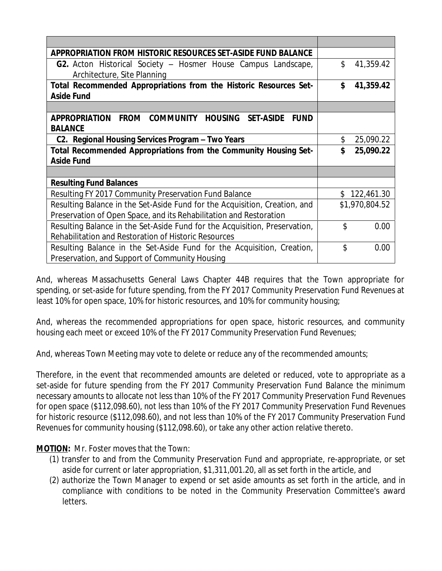| APPROPRIATION FROM HISTORIC RESOURCES SET-ASIDE FUND BALANCE                                       |                  |
|----------------------------------------------------------------------------------------------------|------------------|
| <b>G2.</b> Acton Historical Society - Hosmer House Campus Landscape,                               | \$<br>41,359.42  |
| Architecture, Site Planning                                                                        |                  |
| Total Recommended Appropriations from the Historic Resources Set-                                  | \$<br>41,359.42  |
| <b>Aside Fund</b>                                                                                  |                  |
|                                                                                                    |                  |
| <b>FROM</b><br><b>COMMUNITY</b><br><b>HOUSING SET-ASIDE</b><br><b>APPROPRIATION</b><br><b>FUND</b> |                  |
| <b>BALANCE</b>                                                                                     |                  |
| C2. Regional Housing Services Program - Two Years                                                  | \$<br>25,090.22  |
| Total Recommended Appropriations from the Community Housing Set-                                   | \$<br>25,090.22  |
| <b>Aside Fund</b>                                                                                  |                  |
|                                                                                                    |                  |
| <b>Resulting Fund Balances</b>                                                                     |                  |
| Resulting FY 2017 Community Preservation Fund Balance                                              | \$<br>122,461.30 |
| Resulting Balance in the Set-Aside Fund for the Acquisition, Creation, and                         | \$1,970,804.52   |
| Preservation of Open Space, and its Rehabilitation and Restoration                                 |                  |
| Resulting Balance in the Set-Aside Fund for the Acquisition, Preservation,                         | \$<br>0.00       |
| Rehabilitation and Restoration of Historic Resources                                               |                  |
| Resulting Balance in the Set-Aside Fund for the Acquisition, Creation,                             | \$<br>0.00       |
| Preservation, and Support of Community Housing                                                     |                  |

And, whereas Massachusetts General Laws Chapter 44B requires that the Town appropriate for spending, or set-aside for future spending, from the FY 2017 Community Preservation Fund Revenues at least 10% for open space, 10% for historic resources, and 10% for community housing;

And, whereas the recommended appropriations for open space, historic resources, and community housing each meet or exceed 10% of the FY 2017 Community Preservation Fund Revenues;

And, whereas Town Meeting may vote to delete or reduce any of the recommended amounts;

Therefore, in the event that recommended amounts are deleted or reduced, vote to appropriate as a set-aside for future spending from the FY 2017 Community Preservation Fund Balance the minimum necessary amounts to allocate not less than 10% of the FY 2017 Community Preservation Fund Revenues for open space (\$112,098.60), not less than 10% of the FY 2017 Community Preservation Fund Revenues for historic resource (\$112,098.60), and not less than 10% of the FY 2017 Community Preservation Fund Revenues for community housing (\$112,098.60), or take any other action relative thereto.

**MOTION:** Mr. Foster moves that the Town:

- (1) transfer to and from the Community Preservation Fund and appropriate, re-appropriate, or set aside for current or later appropriation, \$1,311,001.20, all as set forth in the article, and
- (2) authorize the Town Manager to expend or set aside amounts as set forth in the article, and in compliance with conditions to be noted in the Community Preservation Committee's award letters.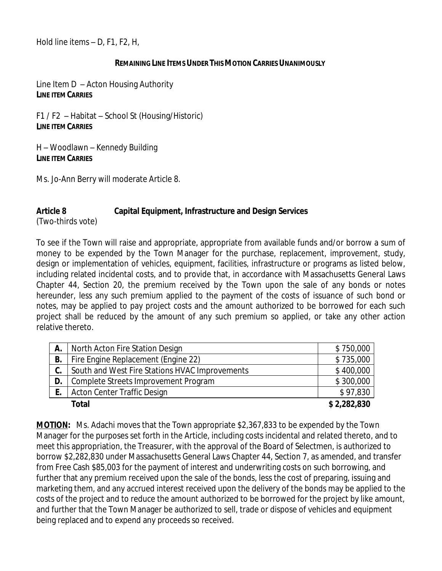Hold line items – D, F1, F2, H,

## **REMAINING LINE ITEMS UNDER THIS MOTION CARRIES UNANIMOUSLY**

Line Item D – Acton Housing Authority **LINE ITEM CARRIES**

F1 / F2 – Habitat – School St (Housing/Historic) **LINE ITEM CARRIES**

H – Woodlawn – Kennedy Building **LINE ITEM CARRIES**

Ms. Jo-Ann Berry will moderate Article 8.

# **Article 8 Capital Equipment, Infrastructure and Design Services**

(Two-thirds vote)

To see if the Town will raise and appropriate, appropriate from available funds and/or borrow a sum of money to be expended by the Town Manager for the purchase, replacement, improvement, study, design or implementation of vehicles, equipment, facilities, infrastructure or programs as listed below, including related incidental costs, and to provide that, in accordance with Massachusetts General Laws Chapter 44, Section 20, the premium received by the Town upon the sale of any bonds or notes hereunder, less any such premium applied to the payment of the costs of issuance of such bond or notes, may be applied to pay project costs and the amount authorized to be borrowed for each such project shall be reduced by the amount of any such premium so applied, or take any other action relative thereto.

| А. | North Acton Fire Station Design                | \$750,000   |
|----|------------------------------------------------|-------------|
| В. | Fire Engine Replacement (Engine 22)            | \$735,000   |
| C. | South and West Fire Stations HVAC Improvements | \$400,000   |
| D. | Complete Streets Improvement Program           | \$300,000   |
|    | <b>Acton Center Traffic Design</b>             | \$97,830    |
|    | Total                                          | \$2,282,830 |

**MOTION:** Ms. Adachi moves that the Town appropriate \$2,367,833 to be expended by the Town Manager for the purposes set forth in the Article, including costs incidental and related thereto, and to meet this appropriation, the Treasurer, with the approval of the Board of Selectmen, is authorized to borrow \$2,282,830 under Massachusetts General Laws Chapter 44, Section 7, as amended, and transfer from Free Cash \$85,003 for the payment of interest and underwriting costs on such borrowing, and further that any premium received upon the sale of the bonds, less the cost of preparing, issuing and marketing them, and any accrued interest received upon the delivery of the bonds may be applied to the costs of the project and to reduce the amount authorized to be borrowed for the project by like amount, and further that the Town Manager be authorized to sell, trade or dispose of vehicles and equipment being replaced and to expend any proceeds so received.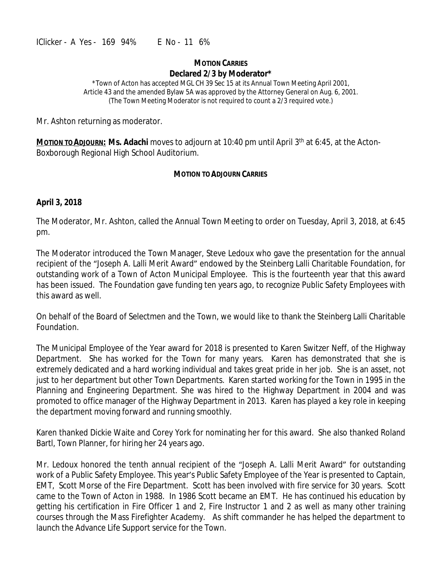#### **MOTION CARRIES Declared 2/3 by Moderator\***

\*Town of Acton has accepted MGL CH 39 Sec 15 at its Annual Town Meeting April 2001, Article 43 and the amended Bylaw 5A was approved by the Attorney General on Aug. 6, 2001. (The Town Meeting Moderator is not required to count a 2/3 required vote.)

Mr. Ashton returning as moderator.

Motion to Abjourn: Ms. Adachi moves to adjourn at 10:40 pm until April 3<sup>th</sup> at 6:45, at the Acton-Boxborough Regional High School Auditorium.

## **MOTION TO ADJOURN CARRIES**

## **April 3, 2018**

The Moderator, Mr. Ashton, called the Annual Town Meeting to order on Tuesday, April 3, 2018, at 6:45 pm.

The Moderator introduced the Town Manager, Steve Ledoux who gave the presentation for the annual recipient of the "Joseph A. Lalli Merit Award" endowed by the Steinberg Lalli Charitable Foundation, for outstanding work of a Town of Acton Municipal Employee. This is the fourteenth year that this award has been issued. The Foundation gave funding ten years ago, to recognize Public Safety Employees with this award as well.

On behalf of the Board of Selectmen and the Town, we would like to thank the Steinberg Lalli Charitable Foundation.

The Municipal Employee of the Year award for 2018 is presented to Karen Switzer Neff, of the Highway Department. She has worked for the Town for many years. Karen has demonstrated that she is extremely dedicated and a hard working individual and takes great pride in her job. She is an asset, not just to her department but other Town Departments. Karen started working for the Town in 1995 in the Planning and Engineering Department. She was hired to the Highway Department in 2004 and was promoted to office manager of the Highway Department in 2013. Karen has played a key role in keeping the department moving forward and running smoothly.

Karen thanked Dickie Waite and Corey York for nominating her for this award. She also thanked Roland Bartl, Town Planner, for hiring her 24 years ago.

Mr. Ledoux honored the tenth annual recipient of the "Joseph A. Lalli Merit Award" for outstanding work of a Public Safety Employee. This year's Public Safety Employee of the Year is presented to Captain, EMT, Scott Morse of the Fire Department. Scott has been involved with fire service for 30 years. Scott came to the Town of Acton in 1988. In 1986 Scott became an EMT. He has continued his education by getting his certification in Fire Officer 1 and 2, Fire Instructor 1 and 2 as well as many other training courses through the Mass Firefighter Academy. As shift commander he has helped the department to launch the Advance Life Support service for the Town.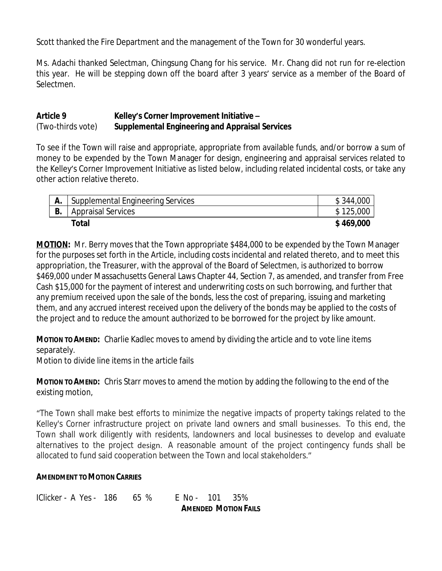Scott thanked the Fire Department and the management of the Town for 30 wonderful years.

Ms. Adachi thanked Selectman, Chingsung Chang for his service. Mr. Chang did not run for re-election this year. He will be stepping down off the board after 3 years' service as a member of the Board of Selectmen.

## **Article 9 Kelley's Corner Improvement Initiative –** (Two-thirds vote) **Supplemental Engineering and Appraisal Services**

To see if the Town will raise and appropriate, appropriate from available funds, and/or borrow a sum of money to be expended by the Town Manager for design, engineering and appraisal services related to the Kelley's Corner Improvement Initiative as listed below, including related incidental costs, or take any other action relative thereto.

|    | Supplemental Engineering Services | \$344,000 |
|----|-----------------------------------|-----------|
| B. | <b>Appraisal Services</b>         | \$125,000 |
|    | <b>Total</b>                      | \$469,000 |

**MOTION:** Mr. Berry moves that the Town appropriate \$484,000 to be expended by the Town Manager for the purposes set forth in the Article, including costs incidental and related thereto, and to meet this appropriation, the Treasurer, with the approval of the Board of Selectmen, is authorized to borrow \$469,000 under Massachusetts General Laws Chapter 44, Section 7, as amended, and transfer from Free Cash \$15,000 for the payment of interest and underwriting costs on such borrowing, and further that any premium received upon the sale of the bonds, less the cost of preparing, issuing and marketing them, and any accrued interest received upon the delivery of the bonds may be applied to the costs of the project and to reduce the amount authorized to be borrowed for the project by like amount.

**MOTION TO AMEND:** Charlie Kadlec moves to amend by dividing the article and to vote line items separately.

Motion to divide line items in the article fails

**MOTION TO AMEND:** Chris Starr moves to amend the motion by adding the following to the end of the existing motion,

"The Town shall make best efforts to minimize the negative impacts of property takings related to the Kelley's Corner infrastructure project on private land owners and small businesses. To this end, the Town shall work diligently with residents, landowners and local businesses to develop and evaluate alternatives to the project design. A reasonable amount of the project contingency funds shall be allocated to fund said cooperation between the Town and local stakeholders."

## **AMENDMENT TO MOTION CARRIES**

IClicker - A Yes - 186 65 % E No - 101 35%

**AMENDED MOTION FAILS**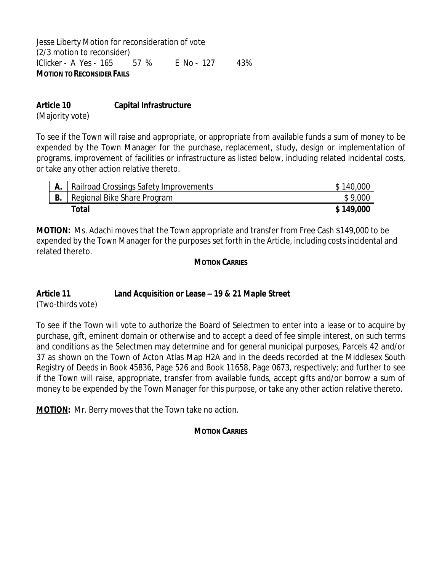Jesse Liberty Motion for reconsideration of vote (2/3 motion to reconsider) IClicker - A Yes - 165 57 % E No - 127 43% **MOTION TO RECONSIDER FAILS**

# **Article 10 Capital Infrastructure**

(Majority vote)

To see if the Town will raise and appropriate, or appropriate from available funds a sum of money to be expended by the Town Manager for the purchase, replacement, study, design or implementation of programs, improvement of facilities or infrastructure as listed below, including related incidental costs, or take any other action relative thereto.

|    | Railroad Crossings Safety Improvements | \$140,000 |
|----|----------------------------------------|-----------|
| Β. | Regional Bike Share Program            | \$9,000   |
|    | Total                                  | \$149,000 |

**MOTION:** Ms. Adachi moves that the Town appropriate and transfer from Free Cash \$149,000 to be expended by the Town Manager for the purposes set forth in the Article, including costs incidental and related thereto.

## **MOTION CARRIES**

# **Article 11 Land Acquisition or Lease – 19 & 21 Maple Street**

(Two-thirds vote)

To see if the Town will vote to authorize the Board of Selectmen to enter into a lease or to acquire by purchase, gift, eminent domain or otherwise and to accept a deed of fee simple interest, on such terms and conditions as the Selectmen may determine and for general municipal purposes, Parcels 42 and/or 37 as shown on the Town of Acton Atlas Map H2A and in the deeds recorded at the Middlesex South Registry of Deeds in Book 45836, Page 526 and Book 11658, Page 0673, respectively; and further to see if the Town will raise, appropriate, transfer from available funds, accept gifts and/or borrow a sum of money to be expended by the Town Manager for this purpose, or take any other action relative thereto.

**MOTION:** Mr. Berry moves that the Town take no action.

# **MOTION CARRIES**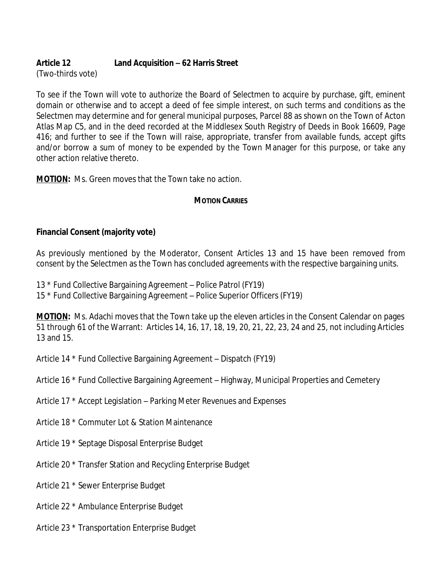# **Article 12 Land Acquisition – 62 Harris Street**

(Two-thirds vote)

To see if the Town will vote to authorize the Board of Selectmen to acquire by purchase, gift, eminent domain or otherwise and to accept a deed of fee simple interest, on such terms and conditions as the Selectmen may determine and for general municipal purposes, Parcel 88 as shown on the Town of Acton Atlas Map C5, and in the deed recorded at the Middlesex South Registry of Deeds in Book 16609, Page 416; and further to see if the Town will raise, appropriate, transfer from available funds, accept gifts and/or borrow a sum of money to be expended by the Town Manager for this purpose, or take any other action relative thereto.

**MOTION:** Ms. Green moves that the Town take no action.

# **MOTION CARRIES**

# **Financial Consent (majority vote)**

As previously mentioned by the Moderator, Consent Articles 13 and 15 have been removed from consent by the Selectmen as the Town has concluded agreements with the respective bargaining units.

- 13 \* Fund Collective Bargaining Agreement Police Patrol (FY19)
- 15 \* Fund Collective Bargaining Agreement Police Superior Officers (FY19)

**MOTION:** Ms. Adachi moves that the Town take up the eleven articles in the Consent Calendar on pages 51 through 61 of the Warrant: Articles 14, 16, 17, 18, 19, 20, 21, 22, 23, 24 and 25, not including Articles 13 and 15.

Article 14 \* Fund Collective Bargaining Agreement – Dispatch (FY19)

- Article 16 \* Fund Collective Bargaining Agreement Highway, Municipal Properties and Cemetery
- Article 17 \* Accept Legislation Parking Meter Revenues and Expenses
- Article 18 \* Commuter Lot & Station Maintenance
- Article 19 \* Septage Disposal Enterprise Budget
- Article 20 \* Transfer Station and Recycling Enterprise Budget
- Article 21 \* Sewer Enterprise Budget
- Article 22 \* Ambulance Enterprise Budget
- Article 23 \* Transportation Enterprise Budget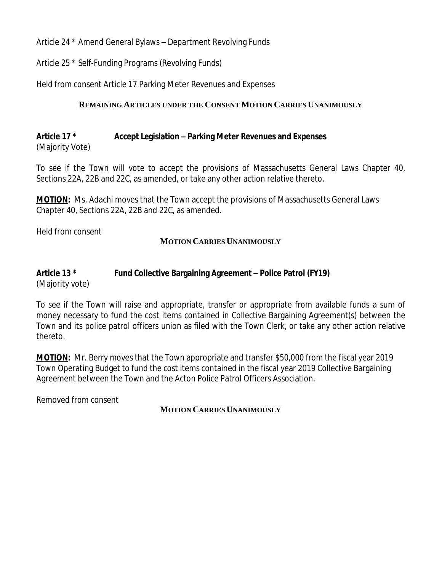Article 24 \* Amend General Bylaws – Department Revolving Funds

Article 25 \* Self-Funding Programs (Revolving Funds)

Held from consent Article 17 Parking Meter Revenues and Expenses

# **REMAINING ARTICLES UNDER THE CONSENT MOTION CARRIES UNANIMOUSLY**

### **Article 17 \* Accept Legislation – Parking Meter Revenues and Expenses** (Majority Vote)

To see if the Town will vote to accept the provisions of Massachusetts General Laws Chapter 40, Sections 22A, 22B and 22C, as amended, or take any other action relative thereto.

**MOTION:** Ms. Adachi moves that the Town accept the provisions of Massachusetts General Laws Chapter 40, Sections 22A, 22B and 22C, as amended.

Held from consent

## **MOTION CARRIES UNANIMOUSLY**

#### **Article 13 \* Fund Collective Bargaining Agreement – Police Patrol (FY19)** (Majority vote)

To see if the Town will raise and appropriate, transfer or appropriate from available funds a sum of money necessary to fund the cost items contained in Collective Bargaining Agreement(s) between the Town and its police patrol officers union as filed with the Town Clerk, or take any other action relative thereto.

**MOTION:** Mr. Berry moves that the Town appropriate and transfer \$50,000 from the fiscal year 2019 Town Operating Budget to fund the cost items contained in the fiscal year 2019 Collective Bargaining Agreement between the Town and the Acton Police Patrol Officers Association.

Removed from consent

## **MOTION CARRIES UNANIMOUSLY**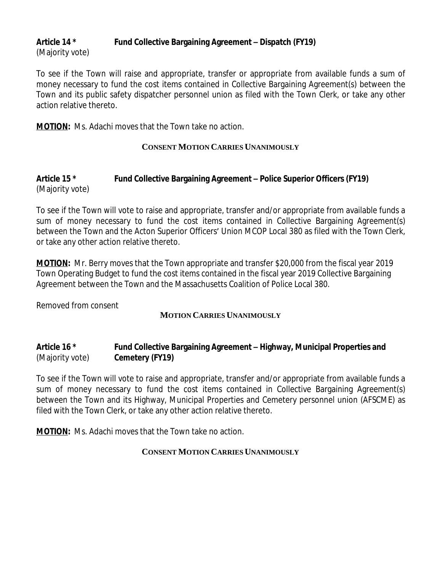# **Article 14 \* Fund Collective Bargaining Agreement – Dispatch (FY19)** (Majority vote)

To see if the Town will raise and appropriate, transfer or appropriate from available funds a sum of money necessary to fund the cost items contained in Collective Bargaining Agreement(s) between the Town and its public safety dispatcher personnel union as filed with the Town Clerk, or take any other action relative thereto.

**MOTION:** Ms. Adachi moves that the Town take no action.

## **CONSENT MOTION CARRIES UNANIMOUSLY**

# **Article 15 \* Fund Collective Bargaining Agreement – Police Superior Officers (FY19)** (Majority vote)

To see if the Town will vote to raise and appropriate, transfer and/or appropriate from available funds a sum of money necessary to fund the cost items contained in Collective Bargaining Agreement(s) between the Town and the Acton Superior Officers' Union MCOP Local 380 as filed with the Town Clerk, or take any other action relative thereto.

**MOTION:** Mr. Berry moves that the Town appropriate and transfer \$20,000 from the fiscal year 2019 Town Operating Budget to fund the cost items contained in the fiscal year 2019 Collective Bargaining Agreement between the Town and the Massachusetts Coalition of Police Local 380.

Removed from consent

# **MOTION CARRIES UNANIMOUSLY**

# **Article 16 \* Fund Collective Bargaining Agreement – Highway, Municipal Properties and** (Majority vote) **Cemetery (FY19)**

To see if the Town will vote to raise and appropriate, transfer and/or appropriate from available funds a sum of money necessary to fund the cost items contained in Collective Bargaining Agreement(s) between the Town and its Highway, Municipal Properties and Cemetery personnel union (AFSCME) as filed with the Town Clerk, or take any other action relative thereto.

**MOTION:** Ms. Adachi moves that the Town take no action.

# **CONSENT MOTION CARRIES UNANIMOUSLY**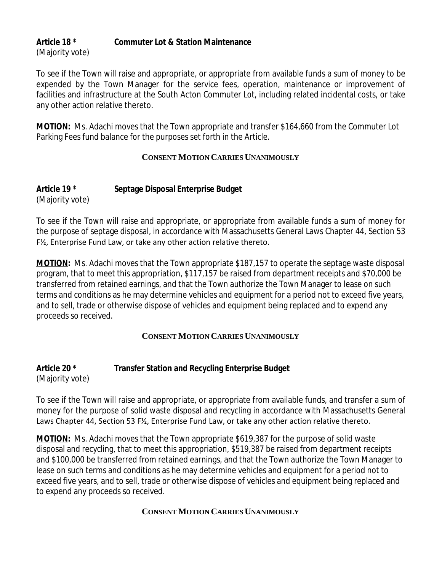# **Article 18 \* Commuter Lot & Station Maintenance** (Majority vote)

To see if the Town will raise and appropriate, or appropriate from available funds a sum of money to be expended by the Town Manager for the service fees, operation, maintenance or improvement of facilities and infrastructure at the South Acton Commuter Lot, including related incidental costs, or take any other action relative thereto.

**MOTION:** Ms. Adachi moves that the Town appropriate and transfer \$164,660 from the Commuter Lot Parking Fees fund balance for the purposes set forth in the Article.

# **CONSENT MOTION CARRIES UNANIMOUSLY**

## **Article 19 \* Septage Disposal Enterprise Budget** (Majority vote)

To see if the Town will raise and appropriate, or appropriate from available funds a sum of money for the purpose of septage disposal, in accordance with Massachusetts General Laws Chapter 44, Section 53 F½, Enterprise Fund Law, or take any other action relative thereto.

**MOTION:** Ms. Adachi moves that the Town appropriate \$187,157 to operate the septage waste disposal program, that to meet this appropriation, \$117,157 be raised from department receipts and \$70,000 be transferred from retained earnings, and that the Town authorize the Town Manager to lease on such terms and conditions as he may determine vehicles and equipment for a period not to exceed five years, and to sell, trade or otherwise dispose of vehicles and equipment being replaced and to expend any proceeds so received.

# **CONSENT MOTION CARRIES UNANIMOUSLY**

# **Article 20 \* Transfer Station and Recycling Enterprise Budget**

(Majority vote)

To see if the Town will raise and appropriate, or appropriate from available funds, and transfer a sum of money for the purpose of solid waste disposal and recycling in accordance with Massachusetts General Laws Chapter 44, Section 53 F½, Enterprise Fund Law, or take any other action relative thereto.

**MOTION:** Ms. Adachi moves that the Town appropriate \$619,387 for the purpose of solid waste disposal and recycling, that to meet this appropriation, \$519,387 be raised from department receipts and \$100,000 be transferred from retained earnings, and that the Town authorize the Town Manager to lease on such terms and conditions as he may determine vehicles and equipment for a period not to exceed five years, and to sell, trade or otherwise dispose of vehicles and equipment being replaced and to expend any proceeds so received.

# **CONSENT MOTION CARRIES UNANIMOUSLY**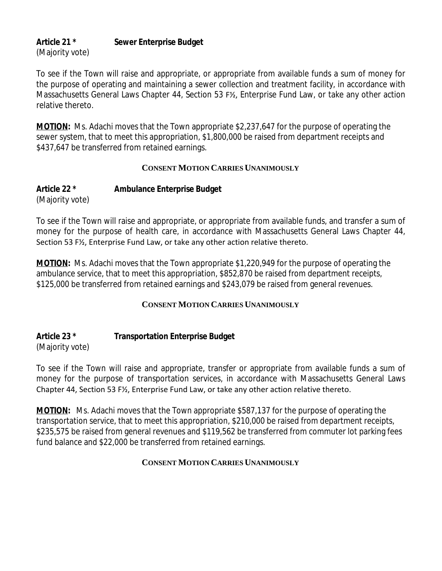## **Article 21 \* Sewer Enterprise Budget** (Majority vote)

To see if the Town will raise and appropriate, or appropriate from available funds a sum of money for the purpose of operating and maintaining a sewer collection and treatment facility, in accordance with Massachusetts General Laws Chapter 44, Section 53 F½, Enterprise Fund Law, or take any other action relative thereto.

**MOTION:** Ms. Adachi moves that the Town appropriate \$2,237,647 for the purpose of operating the sewer system, that to meet this appropriation, \$1,800,000 be raised from department receipts and \$437,647 be transferred from retained earnings.

## **CONSENT MOTION CARRIES UNANIMOUSLY**

# **Article 22 \* Ambulance Enterprise Budget** (Majority vote)

To see if the Town will raise and appropriate, or appropriate from available funds, and transfer a sum of money for the purpose of health care, in accordance with Massachusetts General Laws Chapter 44, Section 53 F½, Enterprise Fund Law, or take any other action relative thereto.

**MOTION:** Ms. Adachi moves that the Town appropriate \$1,220,949 for the purpose of operating the ambulance service, that to meet this appropriation, \$852,870 be raised from department receipts, \$125,000 be transferred from retained earnings and \$243,079 be raised from general revenues.

# **CONSENT MOTION CARRIES UNANIMOUSLY**

## **Article 23 \* Transportation Enterprise Budget** (Majority vote)

To see if the Town will raise and appropriate, transfer or appropriate from available funds a sum of money for the purpose of transportation services, in accordance with Massachusetts General Laws Chapter 44, Section 53 F½, Enterprise Fund Law, or take any other action relative thereto.

**MOTION:** Ms. Adachi moves that the Town appropriate \$587,137 for the purpose of operating the transportation service, that to meet this appropriation, \$210,000 be raised from department receipts, \$235,575 be raised from general revenues and \$119,562 be transferred from commuter lot parking fees fund balance and \$22,000 be transferred from retained earnings.

# **CONSENT MOTION CARRIES UNANIMOUSLY**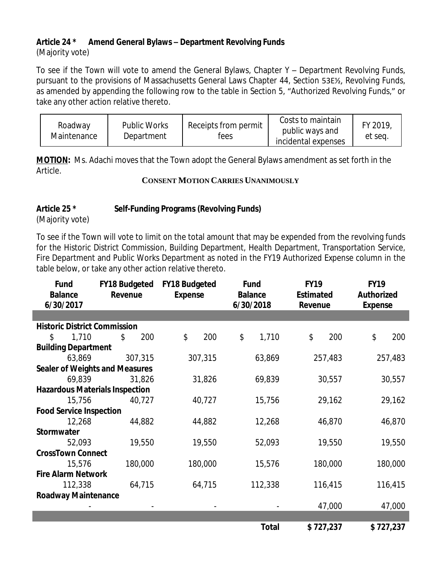# **Article 24 \* Amend General Bylaws – Department Revolving Funds**

(Majority vote)

To see if the Town will vote to amend the General Bylaws, Chapter Y – Department Revolving Funds, pursuant to the provisions of Massachusetts General Laws Chapter 44, Section 53E½, Revolving Funds, as amended by appending the following row to the table in Section 5, "Authorized Revolving Funds," or take any other action relative thereto.

| Roadway<br>Maintenance | <b>Public Works</b><br>Department | Receipts from permit<br>tees | Costs to maintain<br>public ways and<br>incidental expenses | FY 2019<br>et seq. |
|------------------------|-----------------------------------|------------------------------|-------------------------------------------------------------|--------------------|
|------------------------|-----------------------------------|------------------------------|-------------------------------------------------------------|--------------------|

**MOTION:** Ms. Adachi moves that the Town adopt the General Bylaws amendment as set forth in the Article.

## **CONSENT MOTION CARRIES UNANIMOUSLY**

# **Article 25 \* Self-Funding Programs (Revolving Funds)**

(Majority vote)

 $\overline{\phantom{a}}$ 

To see if the Town will vote to limit on the total amount that may be expended from the revolving funds for the Historic District Commission, Building Department, Health Department, Transportation Service, Fire Department and Public Works Department as noted in the FY19 Authorized Expense column in the table below, or take any other action relative thereto.

| Fund<br><b>Balance</b><br>6/30/2017   | <b>FY18 Budgeted</b><br>Revenue       | <b>FY18 Budgeted</b><br><b>Expense</b> | <b>Fund</b><br><b>Balance</b><br>6/30/2018 | <b>FY19</b><br><b>Estimated</b><br>Revenue | <b>FY19</b><br>Authorized<br><b>Expense</b> |  |
|---------------------------------------|---------------------------------------|----------------------------------------|--------------------------------------------|--------------------------------------------|---------------------------------------------|--|
|                                       |                                       |                                        |                                            |                                            |                                             |  |
| <b>Historic District Commission</b>   |                                       |                                        |                                            |                                            |                                             |  |
| 1,710<br>\$                           | \$<br>200                             | \$<br>200                              | \$<br>1,710                                | \$<br>200                                  | \$<br>200                                   |  |
| <b>Building Department</b>            |                                       |                                        |                                            |                                            |                                             |  |
| 63,869                                | 307,315                               | 307,315                                | 63,869                                     | 257,483                                    | 257,483                                     |  |
|                                       | <b>Sealer of Weights and Measures</b> |                                        |                                            |                                            |                                             |  |
| 69,839                                | 31,826                                | 31,826                                 | 69,839                                     | 30,557                                     | 30,557                                      |  |
| <b>Hazardous Materials Inspection</b> |                                       |                                        |                                            |                                            |                                             |  |
| 15,756                                | 40,727                                | 40,727                                 | 15,756                                     | 29,162                                     | 29,162                                      |  |
| <b>Food Service Inspection</b>        |                                       |                                        |                                            |                                            |                                             |  |
| 12,268                                | 44,882                                | 44,882                                 | 12,268                                     | 46,870                                     | 46,870                                      |  |
| <b>Stormwater</b>                     |                                       |                                        |                                            |                                            |                                             |  |
| 52,093                                | 19,550                                | 19,550                                 | 52,093                                     | 19,550                                     | 19,550                                      |  |
| <b>CrossTown Connect</b>              |                                       |                                        |                                            |                                            |                                             |  |
| 15,576                                | 180,000                               | 180,000                                | 15,576                                     | 180,000                                    | 180,000                                     |  |
| <b>Fire Alarm Network</b>             |                                       |                                        |                                            |                                            |                                             |  |
| 112,338                               | 64,715                                | 64,715                                 | 112,338                                    | 116,415                                    | 116,415                                     |  |
| <b>Roadway Maintenance</b>            |                                       |                                        |                                            |                                            |                                             |  |
|                                       |                                       |                                        |                                            | 47,000                                     | 47,000                                      |  |
|                                       |                                       |                                        |                                            |                                            |                                             |  |
|                                       |                                       |                                        | <b>Total</b>                               | \$727,237                                  | \$727,237                                   |  |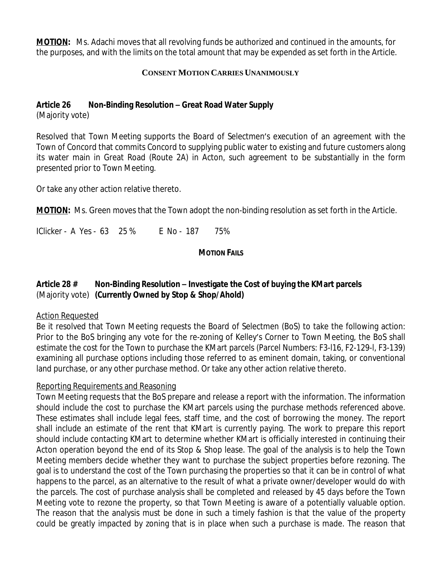**MOTION:** Ms. Adachi moves that all revolving funds be authorized and continued in the amounts, for the purposes, and with the limits on the total amount that may be expended as set forth in the Article.

## **CONSENT MOTION CARRIES UNANIMOUSLY**

## **Article 26 Non-Binding Resolution – Great Road Water Supply**

(Majority vote)

Resolved that Town Meeting supports the Board of Selectmen's execution of an agreement with the Town of Concord that commits Concord to supplying public water to existing and future customers along its water main in Great Road (Route 2A) in Acton, such agreement to be substantially in the form presented prior to Town Meeting.

Or take any other action relative thereto.

**MOTION:** Ms. Green moves that the Town adopt the non-binding resolution as set forth in the Article.

IClicker - A Yes - 63 25 % E No - 187 75%

## **MOTION FAILS**

# **Article 28 # Non-Binding Resolution – Investigate the Cost of buying the KMart parcels** (Majority vote) **(Currently Owned by Stop & Shop/Ahold)**

## Action Requested

Be it resolved that Town Meeting requests the Board of Selectmen (BoS) to take the following action: Prior to the BoS bringing any vote for the re-zoning of Kelley's Corner to Town Meeting, the BoS shall estimate the cost for the Town to purchase the KMart parcels (Parcel Numbers: F3-l16, F2-129-l, F3-139) examining all purchase options including those referred to as eminent domain, taking, or conventional land purchase, or any other purchase method. Or take any other action relative thereto.

# Reporting Requirements and Reasoning

Town Meeting requests that the BoS prepare and release a report with the information. The information should include the cost to purchase the KMart parcels using the purchase methods referenced above. These estimates shall include legal fees, staff time, and the cost of borrowing the money. The report shall include an estimate of the rent that KMart is currently paying. The work to prepare this report should include contacting KMart to determine whether KMart is officially interested in continuing their Acton operation beyond the end of its Stop & Shop lease. The goal of the analysis is to help the Town Meeting members decide whether they want to purchase the subject properties before rezoning. The goal is to understand the cost of the Town purchasing the properties so that it can be in control of what happens to the parcel, as an alternative to the result of what a private owner/developer would do with the parcels. The cost of purchase analysis shall be completed and released by 45 days before the Town Meeting vote to rezone the property, so that Town Meeting is aware of a potentially valuable option. The reason that the analysis must be done in such a timely fashion is that the value of the property could be greatly impacted by zoning that is in place when such a purchase is made. The reason that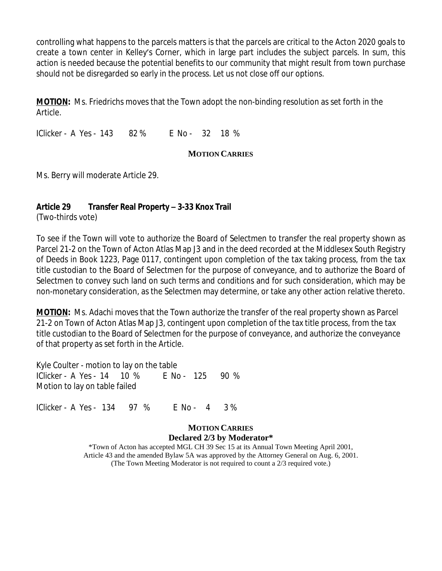controlling what happens to the parcels matters is that the parcels are critical to the Acton 2020 goals to create a town center in Kelley's Corner, which in large part includes the subject parcels. In sum, this action is needed because the potential benefits to our community that might result from town purchase should not be disregarded so early in the process. Let us not close off our options.

**MOTION:** Ms. Friedrichs moves that the Town adopt the non-binding resolution as set forth in the Article.

IClicker - A Yes - 143 82 % E No - 32 18 %

## **MOTION CARRIES**

Ms. Berry will moderate Article 29.

# **Article 29 Transfer Real Property – 3-33 Knox Trail**

(Two-thirds vote)

To see if the Town will vote to authorize the Board of Selectmen to transfer the real property shown as Parcel 21-2 on the Town of Acton Atlas Map J3 and in the deed recorded at the Middlesex South Registry of Deeds in Book 1223, Page 0117, contingent upon completion of the tax taking process, from the tax title custodian to the Board of Selectmen for the purpose of conveyance, and to authorize the Board of Selectmen to convey such land on such terms and conditions and for such consideration, which may be non-monetary consideration, as the Selectmen may determine, or take any other action relative thereto.

**MOTION:** Ms. Adachi moves that the Town authorize the transfer of the real property shown as Parcel 21-2 on Town of Acton Atlas Map J3, contingent upon completion of the tax title process, from the tax title custodian to the Board of Selectmen for the purpose of conveyance, and authorize the conveyance of that property as set forth in the Article.

Kyle Coulter - motion to lay on the table IClicker - A Yes - 14 10 % E No - 125 90 % Motion to lay on table failed

IClicker - A Yes - 134 97 % E No - 4 3 %

## **MOTION CARRIES Declared 2/3 by Moderator\***

\*Town of Acton has accepted MGL CH 39 Sec 15 at its Annual Town Meeting April 2001, Article 43 and the amended Bylaw 5A was approved by the Attorney General on Aug. 6, 2001. (The Town Meeting Moderator is not required to count a 2/3 required vote.)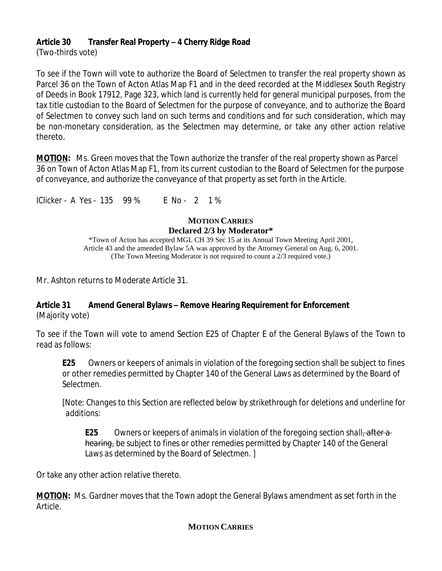# **Article 30 Transfer Real Property – 4 Cherry Ridge Road**

(Two-thirds vote)

To see if the Town will vote to authorize the Board of Selectmen to transfer the real property shown as Parcel 36 on the Town of Acton Atlas Map F1 and in the deed recorded at the Middlesex South Registry of Deeds in Book 17912, Page 323, which land is currently held for general municipal purposes, from the tax title custodian to the Board of Selectmen for the purpose of conveyance, and to authorize the Board of Selectmen to convey such land on such terms and conditions and for such consideration, which may be non-monetary consideration, as the Selectmen may determine, or take any other action relative thereto.

**MOTION:** Ms. Green moves that the Town authorize the transfer of the real property shown as Parcel 36 on Town of Acton Atlas Map F1, from its current custodian to the Board of Selectmen for the purpose of conveyance, and authorize the conveyance of that property as set forth in the Article.

IClicker - A Yes - 135 99 % E No - 2 1 %

#### **MOTION CARRIES Declared 2/3 by Moderator\*** \*Town of Acton has accepted MGL CH 39 Sec 15 at its Annual Town Meeting April 2001, Article 43 and the amended Bylaw 5A was approved by the Attorney General on Aug. 6, 2001. (The Town Meeting Moderator is not required to count a 2/3 required vote.)

Mr. Ashton returns to Moderate Article 31.

## **Article 31 Amend General Bylaws – Remove Hearing Requirement for Enforcement** (Majority vote)

To see if the Town will vote to amend Section E25 of Chapter E of the General Bylaws of the Town to read as follows:

**E25** Owners or keepers of animals in violation of the foregoing section shall be subject to fines or other remedies permitted by Chapter 140 of the General Laws as determined by the Board of Selectmen.

*[Note: Changes to this Section are reflected below by strikethrough for deletions and underline for additions:*

*E25 Owners or keepers of animals in violation of the foregoing section shall, after a hearing, be subject to fines or other remedies permitted by Chapter 140 of the General Laws as determined by the Board of Selectmen. ]*

Or take any other action relative thereto.

**MOTION:** Ms. Gardner moves that the Town adopt the General Bylaws amendment as set forth in the Article.

# **MOTION CARRIES**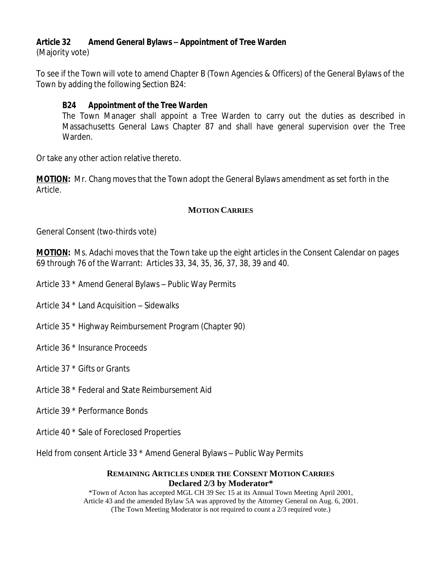## **Article 32 Amend General Bylaws – Appointment of Tree Warden**

(Majority vote)

To see if the Town will vote to amend Chapter B (Town Agencies & Officers) of the General Bylaws of the Town by adding the following Section B24:

# *B24 Appointment of the Tree Warden*

The Town Manager shall appoint a Tree Warden to carry out the duties as described in Massachusetts General Laws Chapter 87 and shall have general supervision over the Tree Warden.

Or take any other action relative thereto.

**MOTION:** Mr. Chang moves that the Town adopt the General Bylaws amendment as set forth in the Article.

## **MOTION CARRIES**

General Consent (two-thirds vote)

**MOTION:** Ms. Adachi moves that the Town take up the eight articles in the Consent Calendar on pages 69 through 76 of the Warrant: Articles 33, 34, 35, 36, 37, 38, 39 and 40.

Article 33 \* Amend General Bylaws – Public Way Permits

Article 34 \* Land Acquisition – Sidewalks

Article 35 \* Highway Reimbursement Program (Chapter 90)

Article 36 \* Insurance Proceeds

Article 37 \* Gifts or Grants

Article 38 \* Federal and State Reimbursement Aid

Article 39 \* Performance Bonds

Article 40 \* Sale of Foreclosed Properties

Held from consent Article 33 \* Amend General Bylaws – Public Way Permits

#### **REMAINING ARTICLES UNDER THE CONSENT MOTION CARRIES Declared 2/3 by Moderator\***

\*Town of Acton has accepted MGL CH 39 Sec 15 at its Annual Town Meeting April 2001, Article 43 and the amended Bylaw 5A was approved by the Attorney General on Aug. 6, 2001. (The Town Meeting Moderator is not required to count a 2/3 required vote.)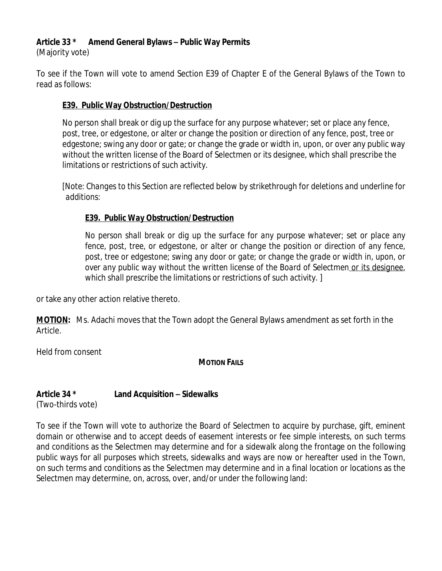# **Article 33 \* Amend General Bylaws – Public Way Permits**

(Majority vote)

To see if the Town will vote to amend Section E39 of Chapter E of the General Bylaws of the Town to read as follows:

# **E39. Public Way Obstruction/Destruction**

No person shall break or dig up the surface for any purpose whatever; set or place any fence, post, tree, or edgestone, or alter or change the position or direction of any fence, post, tree or edgestone; swing any door or gate; or change the grade or width in, upon, or over any public way without the written license of the Board of Selectmen or its designee, which shall prescribe the limitations or restrictions of such activity.

*[Note: Changes to this Section are reflected below by strikethrough for deletions and underline for additions:*

# *E39. Public Way Obstruction/Destruction*

*No person shall break or dig up the surface for any purpose whatever; set or place any fence, post, tree, or edgestone, or alter or change the position or direction of any fence, post, tree or edgestone; swing any door or gate; or change the grade or width in, upon, or over any public way without the written license of the Board of Selectmen or its designee, which shall prescribe the limitations or restrictions of such activity.* ]

or take any other action relative thereto.

**MOTION:** Ms. Adachi moves that the Town adopt the General Bylaws amendment as set forth in the Article.

Held from consent

**MOTION FAILS**

# **Article 34 \* Land Acquisition – Sidewalks**

(Two-thirds vote)

To see if the Town will vote to authorize the Board of Selectmen to acquire by purchase, gift, eminent domain or otherwise and to accept deeds of easement interests or fee simple interests, on such terms and conditions as the Selectmen may determine and for a sidewalk along the frontage on the following public ways for all purposes which streets, sidewalks and ways are now or hereafter used in the Town, on such terms and conditions as the Selectmen may determine and in a final location or locations as the Selectmen may determine, on, across, over, and/or under the following land: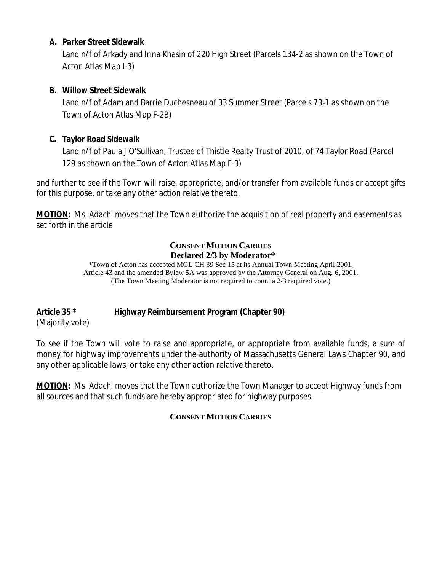## **A. Parker Street Sidewalk**

Land n/f of Arkady and Irina Khasin of 220 High Street (Parcels 134-2 as shown on the Town of Acton Atlas Map I-3)

## **B. Willow Street Sidewalk**

Land n/f of Adam and Barrie Duchesneau of 33 Summer Street (Parcels 73-1 as shown on the Town of Acton Atlas Map F-2B)

# **C. Taylor Road Sidewalk**

Land n/f of Paula J O'Sullivan, Trustee of Thistle Realty Trust of 2010, of 74 Taylor Road (Parcel 129 as shown on the Town of Acton Atlas Map F-3)

and further to see if the Town will raise, appropriate, and/or transfer from available funds or accept gifts for this purpose, or take any other action relative thereto.

**MOTION:** Ms. Adachi moves that the Town authorize the acquisition of real property and easements as set forth in the article.

## **CONSENT MOTION CARRIES Declared 2/3 by Moderator\***

\*Town of Acton has accepted MGL CH 39 Sec 15 at its Annual Town Meeting April 2001, Article 43 and the amended Bylaw 5A was approved by the Attorney General on Aug. 6, 2001. (The Town Meeting Moderator is not required to count a 2/3 required vote.)

# **Article 35 \* Highway Reimbursement Program (Chapter 90)**

(Majority vote)

To see if the Town will vote to raise and appropriate, or appropriate from available funds, a sum of money for highway improvements under the authority of Massachusetts General Laws Chapter 90, and any other applicable laws, or take any other action relative thereto.

**MOTION:** Ms. Adachi moves that the Town authorize the Town Manager to accept Highway funds from all sources and that such funds are hereby appropriated for highway purposes.

# **CONSENT MOTION CARRIES**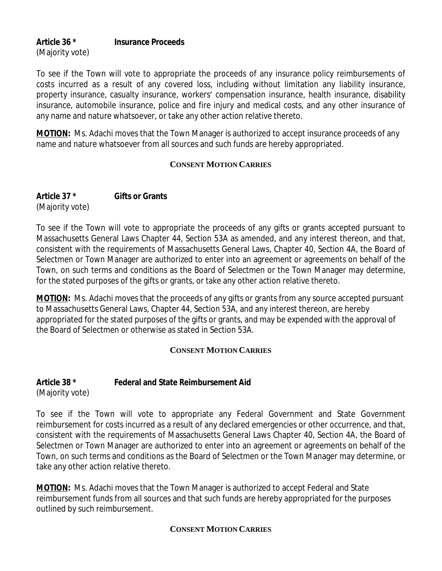## **Article 36 \* Insurance Proceeds** (Majority vote)

To see if the Town will vote to appropriate the proceeds of any insurance policy reimbursements of costs incurred as a result of any covered loss, including without limitation any liability insurance, property insurance, casualty insurance, workers' compensation insurance, health insurance, disability insurance, automobile insurance, police and fire injury and medical costs, and any other insurance of any name and nature whatsoever, or take any other action relative thereto.

**MOTION:** Ms. Adachi moves that the Town Manager is authorized to accept insurance proceeds of any name and nature whatsoever from all sources and such funds are hereby appropriated.

## **CONSENT MOTION CARRIES**

**Article 37 \* Gifts or Grants** (Majority vote)

To see if the Town will vote to appropriate the proceeds of any gifts or grants accepted pursuant to Massachusetts General Laws Chapter 44, Section 53A as amended, and any interest thereon, and that, consistent with the requirements of Massachusetts General Laws, Chapter 40, Section 4A, the Board of Selectmen or Town Manager are authorized to enter into an agreement or agreements on behalf of the Town, on such terms and conditions as the Board of Selectmen or the Town Manager may determine, for the stated purposes of the gifts or grants, or take any other action relative thereto.

**MOTION:** Ms. Adachi moves that the proceeds of any gifts or grants from any source accepted pursuant to Massachusetts General Laws, Chapter 44, Section 53A, and any interest thereon, are hereby appropriated for the stated purposes of the gifts or grants, and may be expended with the approval of the Board of Selectmen or otherwise as stated in Section 53A.

# **CONSENT MOTION CARRIES**

#### **Article 38 \* Federal and State Reimbursement Aid** (Majority vote)

To see if the Town will vote to appropriate any Federal Government and State Government reimbursement for costs incurred as a result of any declared emergencies or other occurrence, and that, consistent with the requirements of Massachusetts General Laws Chapter 40, Section 4A, the Board of Selectmen or Town Manager are authorized to enter into an agreement or agreements on behalf of the Town, on such terms and conditions as the Board of Selectmen or the Town Manager may determine, or take any other action relative thereto.

**MOTION:** Ms. Adachi moves that the Town Manager is authorized to accept Federal and State reimbursement funds from all sources and that such funds are hereby appropriated for the purposes outlined by such reimbursement.

# **CONSENT MOTION CARRIES**